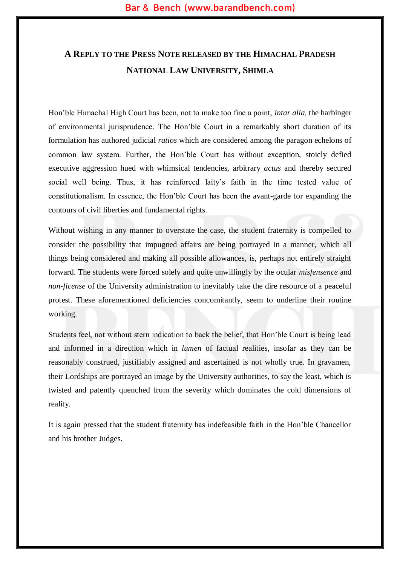# **A REPLY TO THE PRESS NOTE RELEASED BY THE HIMACHAL PRADESH NATIONAL LAW UNIVERSITY, SHIMLA**

Hon'ble Himachal High Court has been, not to make too fine a point, *intar alia,* the harbinger of environmental jurisprudence. The Hon'ble Court in a remarkably short duration of its formulation has authored judicial *ratios* which are considered among the paragon echelons of common law system. Further, the Hon'ble Court has without exception, stoicly defied executive aggression hued with whimsical tendencies, arbitrary *actus* and thereby secured social well being. Thus, it has reinforced laity's faith in the time tested value of constitutionalism. In essence, the Hon'ble Court has been the avant-garde for expanding the contours of civil liberties and fundamental rights.

Without wishing in any manner to overstate the case, the student fraternity is compelled to consider the possibility that impugned affairs are being portrayed in a manner, which all things being considered and making all possible allowances, is, perhaps not entirely straight forward. The students were forced solely and quite unwillingly by the ocular *misfensence* and *non-ficense* of the University administration to inevitably take the dire resource of a peaceful protest. These aforementioned deficiencies concomitantly, seem to underline their routine working*.* 

Students feel, not without stern indication to back the belief, that Hon'ble Court is being lead and informed in a direction which in *lumen* of factual realities, insofar as they can be reasonably construed, justifiably assigned and ascertained is not wholly true. In gravamen, their Lordships are portrayed an image by the University authorities, to say the least, which is twisted and patently quenched from the severity which dominates the cold dimensions of reality.

It is again pressed that the student fraternity has indefeasible faith in the Hon'ble Chancellor and his brother Judges.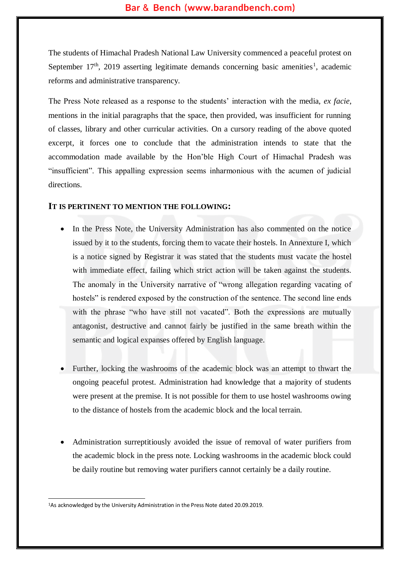The students of Himachal Pradesh National Law University commenced a peaceful protest on September  $17<sup>th</sup>$ , 2019 asserting legitimate demands concerning basic amenities<sup>1</sup>, academic reforms and administrative transparency.

The Press Note released as a response to the students' interaction with the media, *ex facie*, mentions in the initial paragraphs that the space, then provided, was insufficient for running of classes, library and other curricular activities. On a cursory reading of the above quoted excerpt, it forces one to conclude that the administration intends to state that the accommodation made available by the Hon'ble High Court of Himachal Pradesh was "insufficient". This appalling expression seems inharmonious with the acumen of judicial directions.

#### **IT IS PERTINENT TO MENTION THE FOLLOWING:**

- In the Press Note, the University Administration has also commented on the notice issued by it to the students, forcing them to vacate their hostels. In Annexture I, which is a notice signed by Registrar it was stated that the students must vacate the hostel with immediate effect, failing which strict action will be taken against the students. The anomaly in the University narrative of "wrong allegation regarding vacating of hostels" is rendered exposed by the construction of the sentence. The second line ends with the phrase "who have still not vacated". Both the expressions are mutually antagonist, destructive and cannot fairly be justified in the same breath within the semantic and logical expanses offered by English language.
- Further, locking the washrooms of the academic block was an attempt to thwart the ongoing peaceful protest. Administration had knowledge that a majority of students were present at the premise. It is not possible for them to use hostel washrooms owing to the distance of hostels from the academic block and the local terrain.
- Administration surreptitiously avoided the issue of removal of water purifiers from the academic block in the press note. Locking washrooms in the academic block could be daily routine but removing water purifiers cannot certainly be a daily routine.

<sup>1</sup>As acknowledged by the University Administration in the Press Note dated 20.09.2019.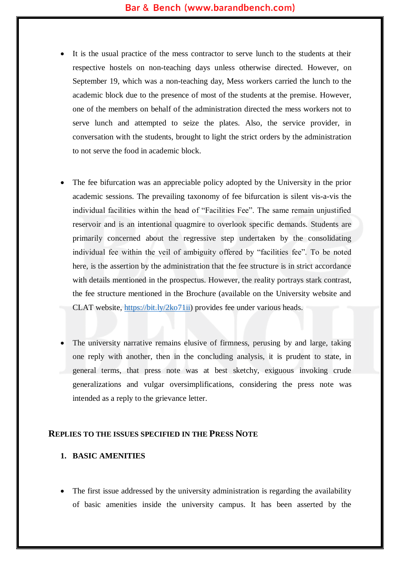- It is the usual practice of the mess contractor to serve lunch to the students at their respective hostels on non-teaching days unless otherwise directed. However, on September 19, which was a non-teaching day, Mess workers carried the lunch to the academic block due to the presence of most of the students at the premise. However, one of the members on behalf of the administration directed the mess workers not to serve lunch and attempted to seize the plates. Also, the service provider, in conversation with the students, brought to light the strict orders by the administration to not serve the food in academic block.
- The fee bifurcation was an appreciable policy adopted by the University in the prior academic sessions. The prevailing taxonomy of fee bifurcation is silent vis-a-vis the individual facilities within the head of "Facilities Fee". The same remain unjustified reservoir and is an intentional quagmire to overlook specific demands. Students are primarily concerned about the regressive step undertaken by the consolidating individual fee within the veil of ambiguity offered by "facilities fee". To be noted here, is the assertion by the administration that the fee structure is in strict accordance with details mentioned in the prospectus. However, the reality portrays stark contrast, the fee structure mentioned in the Brochure (available on the University website and CLAT website, [https://bit.ly/2ko71ii\)](https://bit.ly/2ko71ii) provides fee under various heads.
- The university narrative remains elusive of firmness, perusing by and large, taking one reply with another, then in the concluding analysis, it is prudent to state, in general terms, that press note was at best sketchy, exiguous invoking crude generalizations and vulgar oversimplifications, considering the press note was intended as a reply to the grievance letter.

#### **REPLIES TO THE ISSUES SPECIFIED IN THE PRESS NOTE**

#### **1. BASIC AMENITIES**

• The first issue addressed by the university administration is regarding the availability of basic amenities inside the university campus. It has been asserted by the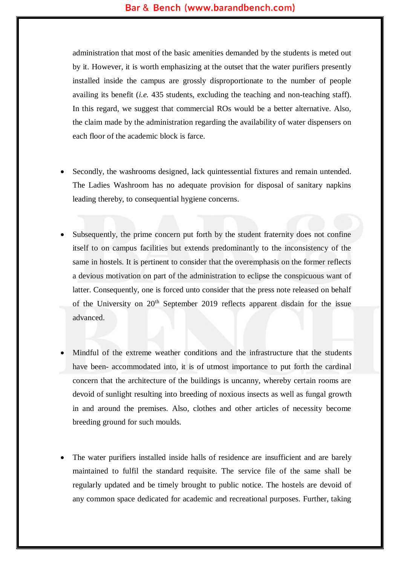administration that most of the basic amenities demanded by the students is meted out by it. However, it is worth emphasizing at the outset that the water purifiers presently installed inside the campus are grossly disproportionate to the number of people availing its benefit (*i.e.* 435 students, excluding the teaching and non-teaching staff). In this regard, we suggest that commercial ROs would be a better alternative. Also, the claim made by the administration regarding the availability of water dispensers on each floor of the academic block is farce.

- Secondly, the washrooms designed, lack quintessential fixtures and remain untended. The Ladies Washroom has no adequate provision for disposal of sanitary napkins leading thereby, to consequential hygiene concerns.
- Subsequently, the prime concern put forth by the student fraternity does not confine itself to on campus facilities but extends predominantly to the inconsistency of the same in hostels. It is pertinent to consider that the overemphasis on the former reflects a devious motivation on part of the administration to eclipse the conspicuous want of latter. Consequently, one is forced unto consider that the press note released on behalf of the University on  $20<sup>th</sup>$  September 2019 reflects apparent disdain for the issue advanced.
- Mindful of the extreme weather conditions and the infrastructure that the students have been- accommodated into, it is of utmost importance to put forth the cardinal concern that the architecture of the buildings is uncanny, whereby certain rooms are devoid of sunlight resulting into breeding of noxious insects as well as fungal growth in and around the premises. Also, clothes and other articles of necessity become breeding ground for such moulds.
- The water purifiers installed inside halls of residence are insufficient and are barely maintained to fulfil the standard requisite. The service file of the same shall be regularly updated and be timely brought to public notice. The hostels are devoid of any common space dedicated for academic and recreational purposes. Further, taking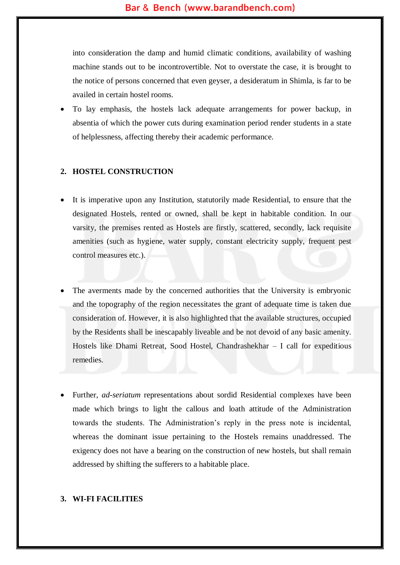into consideration the damp and humid climatic conditions, availability of washing machine stands out to be incontrovertible. Not to overstate the case, it is brought to the notice of persons concerned that even geyser, a desideratum in Shimla, is far to be availed in certain hostel rooms.

 To lay emphasis, the hostels lack adequate arrangements for power backup, in absentia of which the power cuts during examination period render students in a state of helplessness, affecting thereby their academic performance.

## **2. HOSTEL CONSTRUCTION**

- It is imperative upon any Institution, statutorily made Residential, to ensure that the designated Hostels, rented or owned, shall be kept in habitable condition. In our varsity, the premises rented as Hostels are firstly, scattered, secondly, lack requisite amenities (such as hygiene, water supply, constant electricity supply, frequent pest control measures etc.).
- The averments made by the concerned authorities that the University is embryonic and the topography of the region necessitates the grant of adequate time is taken due consideration of. However, it is also highlighted that the available structures, occupied by the Residents shall be inescapably liveable and be not devoid of any basic amenity. Hostels like Dhami Retreat, Sood Hostel, Chandrashekhar – I call for expeditious remedies.
- Further, *ad-seriatum* representations about sordid Residential complexes have been made which brings to light the callous and loath attitude of the Administration towards the students. The Administration's reply in the press note is incidental, whereas the dominant issue pertaining to the Hostels remains unaddressed. The exigency does not have a bearing on the construction of new hostels, but shall remain addressed by shifting the sufferers to a habitable place.

#### **3. WI-FI FACILITIES**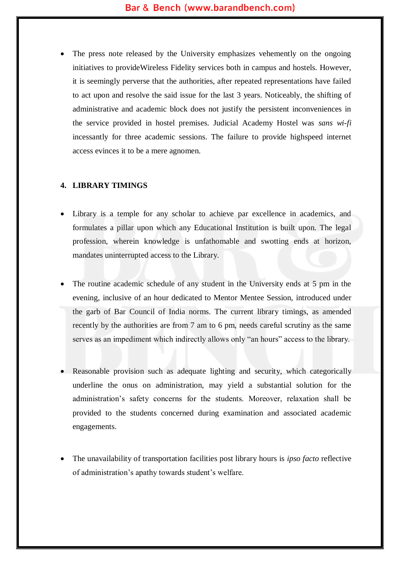The press note released by the University emphasizes vehemently on the ongoing initiatives to provideWireless Fidelity services both in campus and hostels. However, it is seemingly perverse that the authorities, after repeated representations have failed to act upon and resolve the said issue for the last 3 years. Noticeably, the shifting of administrative and academic block does not justify the persistent inconveniences in the service provided in hostel premises. Judicial Academy Hostel was *sans wi-fi* incessantly for three academic sessions. The failure to provide highspeed internet access evinces it to be a mere agnomen.

## **4. LIBRARY TIMINGS**

- Library is a temple for any scholar to achieve par excellence in academics, and formulates a pillar upon which any Educational Institution is built upon. The legal profession, wherein knowledge is unfathomable and swotting ends at horizon, mandates uninterrupted access to the Library.
- The routine academic schedule of any student in the University ends at 5 pm in the evening, inclusive of an hour dedicated to Mentor Mentee Session, introduced under the garb of Bar Council of India norms. The current library timings, as amended recently by the authorities are from 7 am to 6 pm, needs careful scrutiny as the same serves as an impediment which indirectly allows only "an hours" access to the library.
- Reasonable provision such as adequate lighting and security, which categorically underline the onus on administration, may yield a substantial solution for the administration's safety concerns for the students. Moreover, relaxation shall be provided to the students concerned during examination and associated academic engagements.
- The unavailability of transportation facilities post library hours is *ipso facto* reflective of administration's apathy towards student's welfare.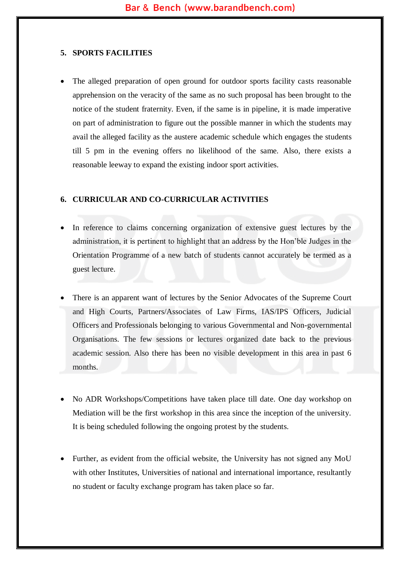#### **5. SPORTS FACILITIES**

 The alleged preparation of open ground for outdoor sports facility casts reasonable apprehension on the veracity of the same as no such proposal has been brought to the notice of the student fraternity. Even, if the same is in pipeline, it is made imperative on part of administration to figure out the possible manner in which the students may avail the alleged facility as the austere academic schedule which engages the students till 5 pm in the evening offers no likelihood of the same. Also, there exists a reasonable leeway to expand the existing indoor sport activities.

#### **6. CURRICULAR AND CO-CURRICULAR ACTIVITIES**

- In reference to claims concerning organization of extensive guest lectures by the administration, it is pertinent to highlight that an address by the Hon'ble Judges in the Orientation Programme of a new batch of students cannot accurately be termed as a guest lecture.
- There is an apparent want of lectures by the Senior Advocates of the Supreme Court and High Courts, Partners/Associates of Law Firms, IAS/IPS Officers, Judicial Officers and Professionals belonging to various Governmental and Non-governmental Organisations. The few sessions or lectures organized date back to the previous academic session. Also there has been no visible development in this area in past 6 months.
- No ADR Workshops/Competitions have taken place till date. One day workshop on Mediation will be the first workshop in this area since the inception of the university. It is being scheduled following the ongoing protest by the students.
- Further, as evident from the official website, the University has not signed any MoU with other Institutes, Universities of national and international importance, resultantly no student or faculty exchange program has taken place so far.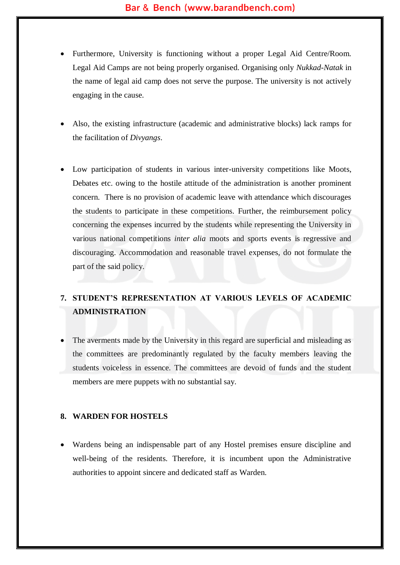- Furthermore, University is functioning without a proper Legal Aid Centre/Room. Legal Aid Camps are not being properly organised. Organising only *Nukkad-Natak* in the name of legal aid camp does not serve the purpose. The university is not actively engaging in the cause.
- Also, the existing infrastructure (academic and administrative blocks) lack ramps for the facilitation of *Divyangs*.
- Low participation of students in various inter-university competitions like Moots, Debates etc. owing to the hostile attitude of the administration is another prominent concern. There is no provision of academic leave with attendance which discourages the students to participate in these competitions. Further, the reimbursement policy concerning the expenses incurred by the students while representing the University in various national competitions *inter alia* moots and sports events is regressive and discouraging. Accommodation and reasonable travel expenses, do not formulate the part of the said policy.

# **7. STUDENT'S REPRESENTATION AT VARIOUS LEVELS OF ACADEMIC ADMINISTRATION**

 The averments made by the University in this regard are superficial and misleading as the committees are predominantly regulated by the faculty members leaving the students voiceless in essence. The committees are devoid of funds and the student members are mere puppets with no substantial say.

#### **8. WARDEN FOR HOSTELS**

 Wardens being an indispensable part of any Hostel premises ensure discipline and well-being of the residents. Therefore, it is incumbent upon the Administrative authorities to appoint sincere and dedicated staff as Warden.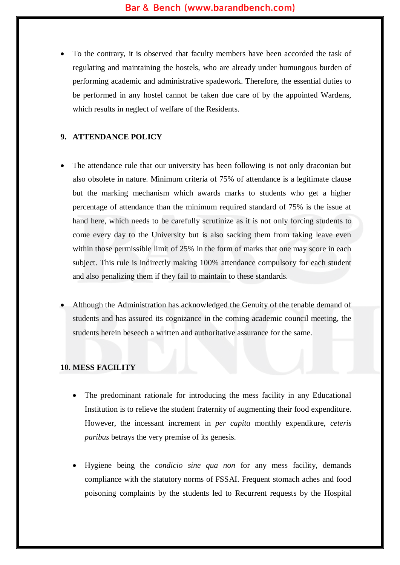To the contrary, it is observed that faculty members have been accorded the task of regulating and maintaining the hostels, who are already under humungous burden of performing academic and administrative spadework. Therefore, the essential duties to be performed in any hostel cannot be taken due care of by the appointed Wardens, which results in neglect of welfare of the Residents.

#### **9. ATTENDANCE POLICY**

- The attendance rule that our university has been following is not only draconian but also obsolete in nature. Minimum criteria of 75% of attendance is a legitimate clause but the marking mechanism which awards marks to students who get a higher percentage of attendance than the minimum required standard of 75% is the issue at hand here, which needs to be carefully scrutinize as it is not only forcing students to come every day to the University but is also sacking them from taking leave even within those permissible limit of 25% in the form of marks that one may score in each subject. This rule is indirectly making 100% attendance compulsory for each student and also penalizing them if they fail to maintain to these standards.
- Although the Administration has acknowledged the Genuity of the tenable demand of students and has assured its cognizance in the coming academic council meeting, the students herein beseech a written and authoritative assurance for the same.

## **10. MESS FACILITY**

- The predominant rationale for introducing the mess facility in any Educational Institution is to relieve the student fraternity of augmenting their food expenditure. However, the incessant increment in *per capita* monthly expenditure, *ceteris paribus* betrays the very premise of its genesis.
- Hygiene being the *condicio sine qua non* for any mess facility, demands compliance with the statutory norms of FSSAI. Frequent stomach aches and food poisoning complaints by the students led to Recurrent requests by the Hospital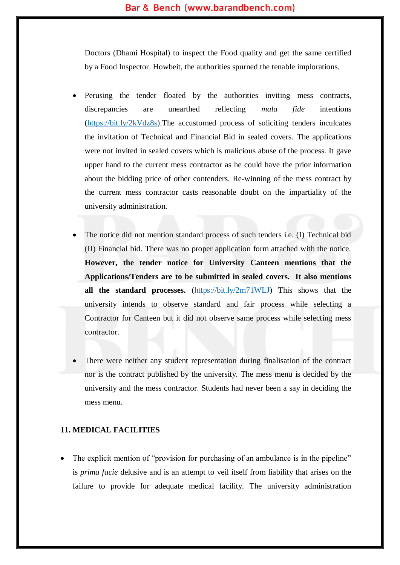Doctors (Dhami Hospital) to inspect the Food quality and get the same certified by a Food Inspector. Howbeit, the authorities spurned the tenable implorations.

- Perusing the tender floated by the authorities inviting mess contracts, discrepancies are unearthed reflecting *mala fide* intentions [\(https://bit.ly/2kVdz8s\)](https://bit.ly/2kVdz8s).The accustomed process of soliciting tenders inculcates the invitation of Technical and Financial Bid in sealed covers. The applications were not invited in sealed covers which is malicious abuse of the process. It gave upper hand to the current mess contractor as he could have the prior information about the bidding price of other contenders. Re-winning of the mess contract by the current mess contractor casts reasonable doubt on the impartiality of the university administration.
- The notice did not mention standard process of such tenders i.e. (I) Technical bid (II) Financial bid. There was no proper application form attached with the notice. **However, the tender notice for University Canteen mentions that the Applications/Tenders are to be submitted in sealed covers. It also mentions all the standard processes.** [\(https://bit.ly/2m71WLJ\)](https://bit.ly/2m71WLJ) This shows that the university intends to observe standard and fair process while selecting a Contractor for Canteen but it did not observe same process while selecting mess contractor.
- There were neither any student representation during finalisation of the contract nor is the contract published by the university. The mess menu is decided by the university and the mess contractor. Students had never been a say in deciding the mess menu.

#### **11. MEDICAL FACILITIES**

The explicit mention of "provision for purchasing of an ambulance is in the pipeline" is *prima facie* delusive and is an attempt to veil itself from liability that arises on the failure to provide for adequate medical facility. The university administration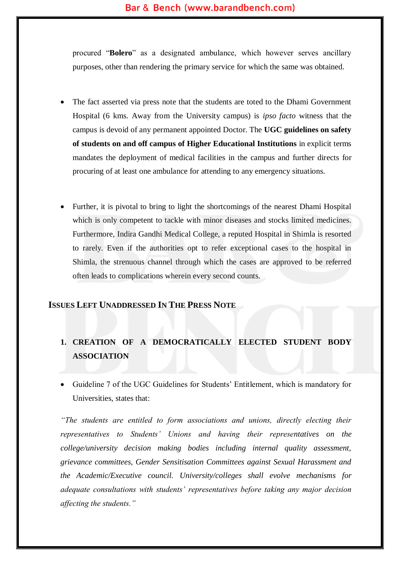procured "**Bolero**" as a designated ambulance, which however serves ancillary purposes, other than rendering the primary service for which the same was obtained.

- The fact asserted via press note that the students are toted to the Dhami Government Hospital (6 kms. Away from the University campus) is *ipso facto* witness that the campus is devoid of any permanent appointed Doctor. The **UGC guidelines on safety of students on and off campus of Higher Educational Institutions** in explicit terms mandates the deployment of medical facilities in the campus and further directs for procuring of at least one ambulance for attending to any emergency situations.
- Further, it is pivotal to bring to light the shortcomings of the nearest Dhami Hospital which is only competent to tackle with minor diseases and stocks limited medicines. Furthermore, Indira Gandhi Medical College, a reputed Hospital in Shimla is resorted to rarely. Even if the authorities opt to refer exceptional cases to the hospital in Shimla, the strenuous channel through which the cases are approved to be referred often leads to complications wherein every second counts.

# **ISSUES LEFT UNADDRESSED IN THE PRESS NOTE**

# **1. CREATION OF A DEMOCRATICALLY ELECTED STUDENT BODY ASSOCIATION**

 Guideline 7 of the UGC Guidelines for Students' Entitlement, which is mandatory for Universities, states that:

*"The students are entitled to form associations and unions, directly electing their representatives to Students' Unions and having their representatives on the college/university decision making bodies including internal quality assessment, grievance committees, Gender Sensitisation Committees against Sexual Harassment and the Academic/Executive council. University/colleges shall evolve mechanisms for adequate consultations with students' representatives before taking any major decision affecting the students."*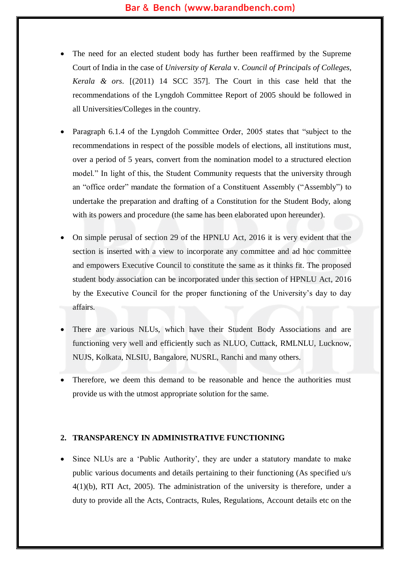- The need for an elected student body has further been reaffirmed by the Supreme Court of India in the case of *University of Kerala* v. *Council of Principals of Colleges, Kerala & ors*. [(2011) 14 SCC 357]. The Court in this case held that the recommendations of the Lyngdoh Committee Report of 2005 should be followed in all Universities/Colleges in the country.
- Paragraph 6.1.4 of the Lyngdoh Committee Order, 2005 states that "subject to the recommendations in respect of the possible models of elections, all institutions must, over a period of 5 years, convert from the nomination model to a structured election model." In light of this, the Student Community requests that the university through an "office order" mandate the formation of a Constituent Assembly ("Assembly") to undertake the preparation and drafting of a Constitution for the Student Body, along with its powers and procedure (the same has been elaborated upon hereunder).
- On simple perusal of section 29 of the HPNLU Act, 2016 it is very evident that the section is inserted with a view to incorporate any committee and ad hoc committee and empowers Executive Council to constitute the same as it thinks fit. The proposed student body association can be incorporated under this section of HPNLU Act, 2016 by the Executive Council for the proper functioning of the University's day to day affairs.
- There are various NLUs, which have their Student Body Associations and are functioning very well and efficiently such as NLUO, Cuttack, RMLNLU, Lucknow, NUJS, Kolkata, NLSIU, Bangalore, NUSRL, Ranchi and many others.
- Therefore, we deem this demand to be reasonable and hence the authorities must provide us with the utmost appropriate solution for the same.

#### **2. TRANSPARENCY IN ADMINISTRATIVE FUNCTIONING**

 Since NLUs are a 'Public Authority', they are under a statutory mandate to make public various documents and details pertaining to their functioning (As specified u/s 4(1)(b), RTI Act, 2005). The administration of the university is therefore, under a duty to provide all the Acts, Contracts, Rules, Regulations, Account details etc on the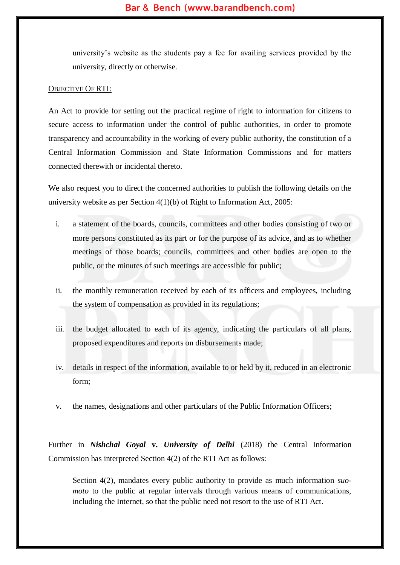university's website as the students pay a fee for availing services provided by the university, directly or otherwise.

#### OBJECTIVE OF RTI:

An Act to provide for setting out the practical regime of right to information for citizens to secure access to information under the control of public authorities, in order to promote transparency and accountability in the working of every public authority, the constitution of a Central Information Commission and State Information Commissions and for matters connected therewith or incidental thereto.

We also request you to direct the concerned authorities to publish the following details on the university website as per Section  $4(1)(b)$  of Right to Information Act, 2005:

- i. a statement of the boards, councils, committees and other bodies consisting of two or more persons constituted as its part or for the purpose of its advice, and as to whether meetings of those boards; councils, committees and other bodies are open to the public, or the minutes of such meetings are accessible for public;
- ii. the monthly remuneration received by each of its officers and employees, including the system of compensation as provided in its regulations;
- iii. the budget allocated to each of its agency, indicating the particulars of all plans, proposed expenditures and reports on disbursements made;
- iv. details in respect of the information, available to or held by it, reduced in an electronic form;
- v. the names, designations and other particulars of the Public Information Officers;

Further in *Nishchal Goyal* **v.** *University of Delhi* (2018) the Central Information Commission has interpreted Section 4(2) of the RTI Act as follows:

Section 4(2), mandates every public authority to provide as much information *suomoto* to the public at regular intervals through various means of communications, including the Internet, so that the public need not resort to the use of RTI Act.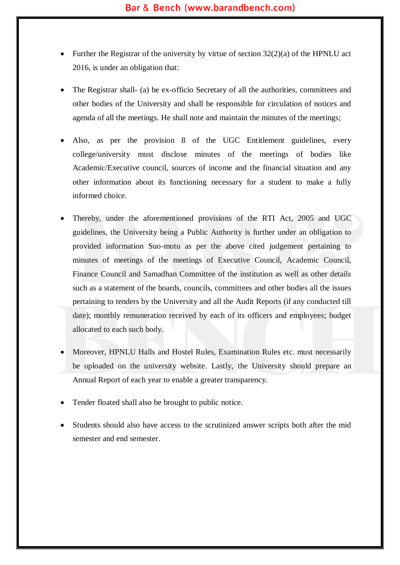- Further the Registrar of the university by virtue of section  $32(2)(a)$  of the HPNLU act 2016, is under an obligation that:
- The Registrar shall- (a) be ex-officio Secretary of all the authorities, committees and other bodies of the University and shall be responsible for circulation of notices and agenda of all the meetings. He shall note and maintain the minutes of the meetings;
- Also, as per the provision 8 of the UGC Entitlement guidelines, every college/university must disclose minutes of the meetings of bodies like Academic/Executive council, sources of income and the financial situation and any other information about its functioning necessary for a student to make a fully informed choice.
- Thereby, under the aforementioned provisions of the RTI Act, 2005 and UGC guidelines, the University being a Public Authority is further under an obligation to provided information Suo-motu as per the above cited judgement pertaining to minutes of meetings of the meetings of Executive Council, Academic Council, Finance Council and Samadhan Committee of the institution as well as other details such as a statement of the boards, councils, committees and other bodies all the issues pertaining to tenders by the University and all the Audit Reports (if any conducted till date); monthly remuneration received by each of its officers and employees; budget allocated to each such body.
- Moreover, HPNLU Halls and Hostel Rules, Examination Rules etc. must necessarily be uploaded on the university website. Lastly, the University should prepare an Annual Report of each year to enable a greater transparency.
- Tender floated shall also be brought to public notice.
- Students should also have access to the scrutinized answer scripts both after the mid semester and end semester.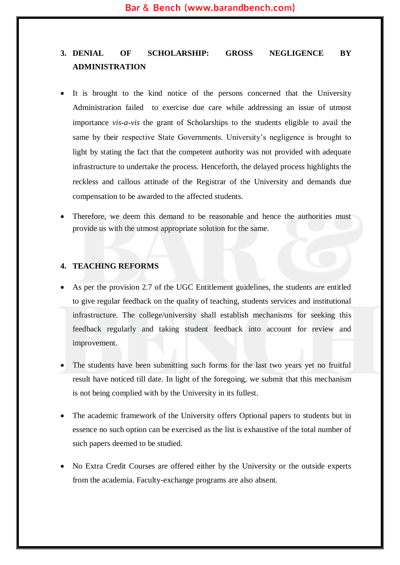# **3. DENIAL OF SCHOLARSHIP: GROSS NEGLIGENCE BY ADMINISTRATION**

- It is brought to the kind notice of the persons concerned that the University Administration failed to exercise due care while addressing an issue of utmost importance *vis-a-vis* the grant of Scholarships to the students eligible to avail the same by their respective State Governments. University's negligence is brought to light by stating the fact that the competent authority was not provided with adequate infrastructure to undertake the process. Henceforth, the delayed process highlights the reckless and callous attitude of the Registrar of the University and demands due compensation to be awarded to the affected students.
- Therefore, we deem this demand to be reasonable and hence the authorities must provide us with the utmost appropriate solution for the same.

#### **4. TEACHING REFORMS**

- As per the provision 2.7 of the UGC Entitlement guidelines, the students are entitled to give regular feedback on the quality of teaching, students services and institutional infrastructure. The college/university shall establish mechanisms for seeking this feedback regularly and taking student feedback into account for review and improvement.
- The students have been submitting such forms for the last two years yet no fruitful result have noticed till date. In light of the foregoing, we submit that this mechanism is not being complied with by the University in its fullest.
- The academic framework of the University offers Optional papers to students but in essence no such option can be exercised as the list is exhaustive of the total number of such papers deemed to be studied.
- No Extra Credit Courses are offered either by the University or the outside experts from the academia. Faculty-exchange programs are also absent.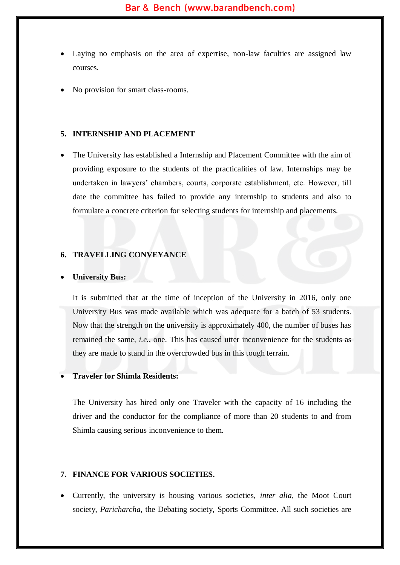- Laying no emphasis on the area of expertise, non-law faculties are assigned law courses.
- No provision for smart class-rooms.

#### **5. INTERNSHIP AND PLACEMENT**

 The University has established a Internship and Placement Committee with the aim of providing exposure to the students of the practicalities of law. Internships may be undertaken in lawyers' chambers, courts, corporate establishment, etc. However, till date the committee has failed to provide any internship to students and also to formulate a concrete criterion for selecting students for internship and placements.

## **6. TRAVELLING CONVEYANCE**

#### **University Bus:**

It is submitted that at the time of inception of the University in 2016, only one University Bus was made available which was adequate for a batch of 53 students. Now that the strength on the university is approximately 400, the number of buses has remained the same, *i.e.*, one. This has caused utter inconvenience for the students as they are made to stand in the overcrowded bus in this tough terrain.

#### **Traveler for Shimla Residents:**

The University has hired only one Traveler with the capacity of 16 including the driver and the conductor for the compliance of more than 20 students to and from Shimla causing serious inconvenience to them.

#### **7. FINANCE FOR VARIOUS SOCIETIES.**

 Currently, the university is housing various societies, *inter alia*, the Moot Court society, *Paricharcha*, the Debating society, Sports Committee. All such societies are